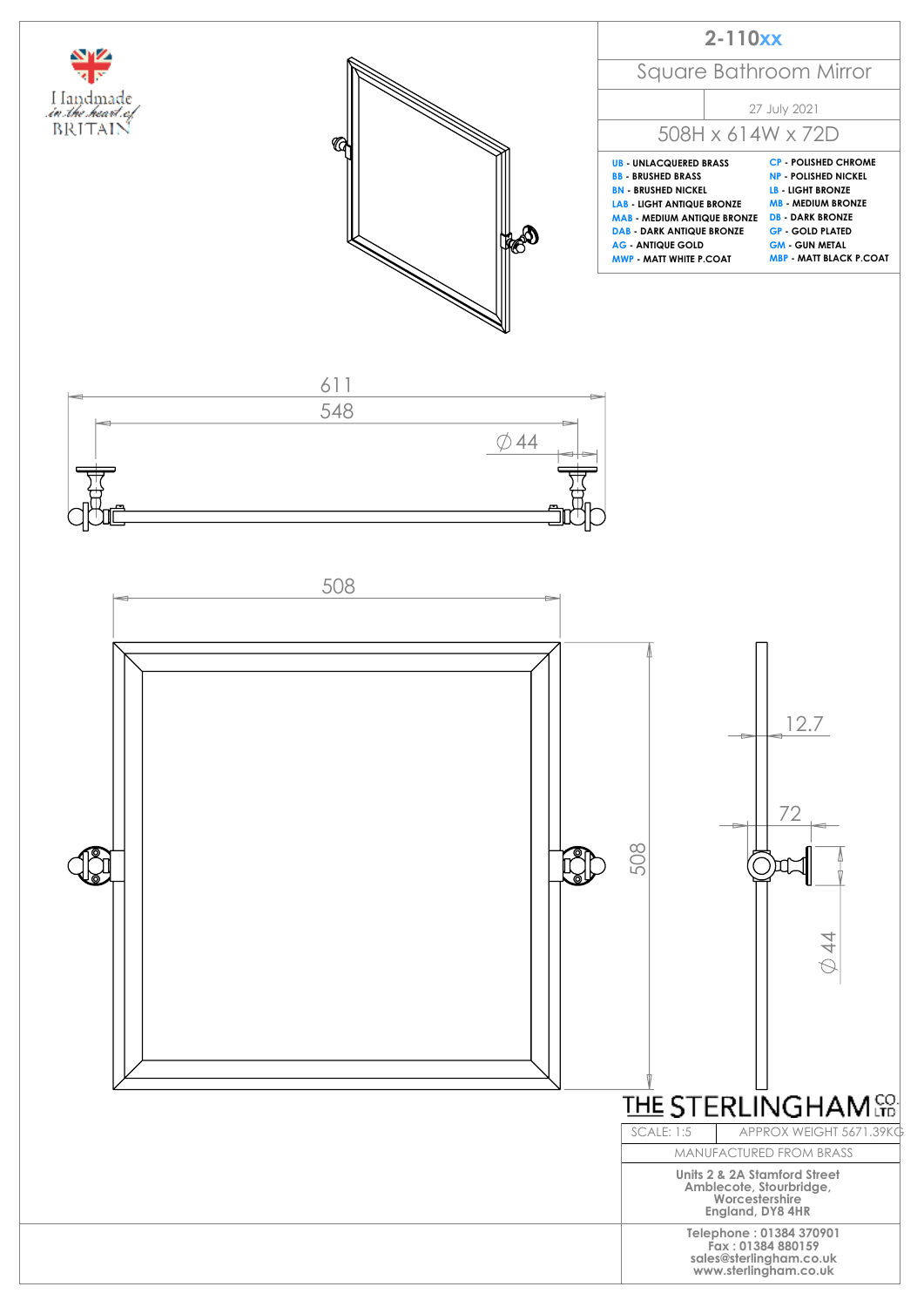